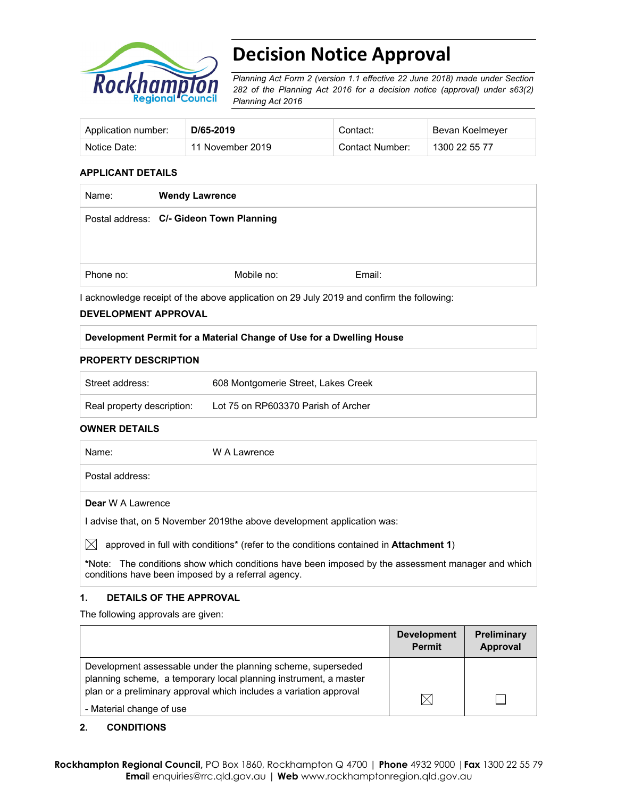

# **Decision Notice Approval**

*Planning Act Form 2 (version 1.1 effective 22 June 2018) made under Section 282 of the Planning Act 2016 for a decision notice (approval) under s63(2) Planning Act 2016*

| Application number: | D/65-2019        | Contact:        | Bevan Koelmeyer |
|---------------------|------------------|-----------------|-----------------|
| Notice Date:        | 11 November 2019 | Contact Number: | 1300 22 55 77   |

#### **APPLICANT DETAILS**

| Name:     | <b>Wendy Lawrence</b>                    |        |
|-----------|------------------------------------------|--------|
|           | Postal address: C/- Gideon Town Planning |        |
|           |                                          |        |
| Phone no: | Mobile no:                               | Email: |
|           |                                          |        |

I acknowledge receipt of the above application on 29 July 2019 and confirm the following:

#### **DEVELOPMENT APPROVAL**

#### **Development Permit for a Material Change of Use for a Dwelling House**

#### **PROPERTY DESCRIPTION**

| Street address:            | 608 Montgomerie Street, Lakes Creek |
|----------------------------|-------------------------------------|
| Real property description: | Lot 75 on RP603370 Parish of Archer |

#### **OWNER DETAILS**

| Name:                    | W A Lawrence |
|--------------------------|--------------|
| Postal address:          |              |
| <b>Dear</b> W A Lawrence |              |

I advise that, on 5 November 2019the above development application was:

 $\boxtimes$  approved in full with conditions<sup>\*</sup> (refer to the conditions contained in **Attachment 1**)

**\***Note:The conditions show which conditions have been imposed by the assessment manager and which conditions have been imposed by a referral agency.

#### **1. DETAILS OF THE APPROVAL**

The following approvals are given:

|                                                                                                                                  | <b>Development</b><br><b>Permit</b> | <b>Preliminary</b><br>Approval |
|----------------------------------------------------------------------------------------------------------------------------------|-------------------------------------|--------------------------------|
| Development assessable under the planning scheme, superseded<br>planning scheme, a temporary local planning instrument, a master |                                     |                                |
| plan or a preliminary approval which includes a variation approval<br>- Material change of use                                   |                                     |                                |

#### **2. CONDITIONS**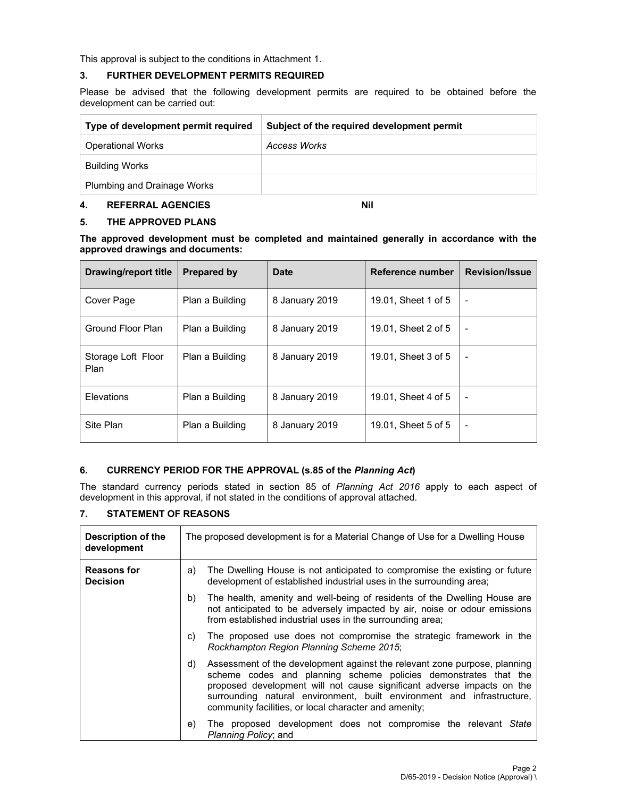This approval is subject to the conditions in Attachment 1.

#### **3. FURTHER DEVELOPMENT PERMITS REQUIRED**

Please be advised that the following development permits are required to be obtained before the development can be carried out:

| Type of development permit required | Subject of the required development permit |
|-------------------------------------|--------------------------------------------|
| <b>Operational Works</b>            | Access Works                               |
| <b>Building Works</b>               |                                            |
| Plumbing and Drainage Works         |                                            |

# **4. REFERRAL AGENCIES Nil**

#### **5. THE APPROVED PLANS**

**The approved development must be completed and maintained generally in accordance with the approved drawings and documents:** 

| Drawing/report title       | <b>Prepared by</b> | Date           | Reference number    | <b>Revision/Issue</b>    |
|----------------------------|--------------------|----------------|---------------------|--------------------------|
| Cover Page                 | Plan a Building    | 8 January 2019 | 19.01, Sheet 1 of 5 | $\overline{\phantom{a}}$ |
| Ground Floor Plan          | Plan a Building    | 8 January 2019 | 19.01, Sheet 2 of 5 | ۰                        |
| Storage Loft Floor<br>Plan | Plan a Building    | 8 January 2019 | 19.01, Sheet 3 of 5 |                          |
| Elevations                 | Plan a Building    | 8 January 2019 | 19.01, Sheet 4 of 5 | $\overline{\phantom{a}}$ |
| Site Plan                  | Plan a Building    | 8 January 2019 | 19.01, Sheet 5 of 5 | $\blacksquare$           |

# **6. CURRENCY PERIOD FOR THE APPROVAL (s.85 of the** *Planning Act***)**

The standard currency periods stated in section 85 of *Planning Act 2016* apply to each aspect of development in this approval, if not stated in the conditions of approval attached.

# **7. STATEMENT OF REASONS**

| Description of the<br>development     | The proposed development is for a Material Change of Use for a Dwelling House |                                                                                                                                                                                                                                                                                                                                                           |  |  |
|---------------------------------------|-------------------------------------------------------------------------------|-----------------------------------------------------------------------------------------------------------------------------------------------------------------------------------------------------------------------------------------------------------------------------------------------------------------------------------------------------------|--|--|
| <b>Reasons for</b><br><b>Decision</b> | a)                                                                            | The Dwelling House is not anticipated to compromise the existing or future<br>development of established industrial uses in the surrounding area;                                                                                                                                                                                                         |  |  |
|                                       | b)                                                                            | The health, amenity and well-being of residents of the Dwelling House are<br>not anticipated to be adversely impacted by air, noise or odour emissions<br>from established industrial uses in the surrounding area;                                                                                                                                       |  |  |
|                                       | C)                                                                            | The proposed use does not compromise the strategic framework in the<br>Rockhampton Region Planning Scheme 2015;                                                                                                                                                                                                                                           |  |  |
|                                       | d)                                                                            | Assessment of the development against the relevant zone purpose, planning<br>scheme codes and planning scheme policies demonstrates that the<br>proposed development will not cause significant adverse impacts on the<br>surrounding natural environment, built environment and infrastructure,<br>community facilities, or local character and amenity; |  |  |
|                                       | e)                                                                            | The proposed development does not compromise the relevant State<br>Planning Policy; and                                                                                                                                                                                                                                                                   |  |  |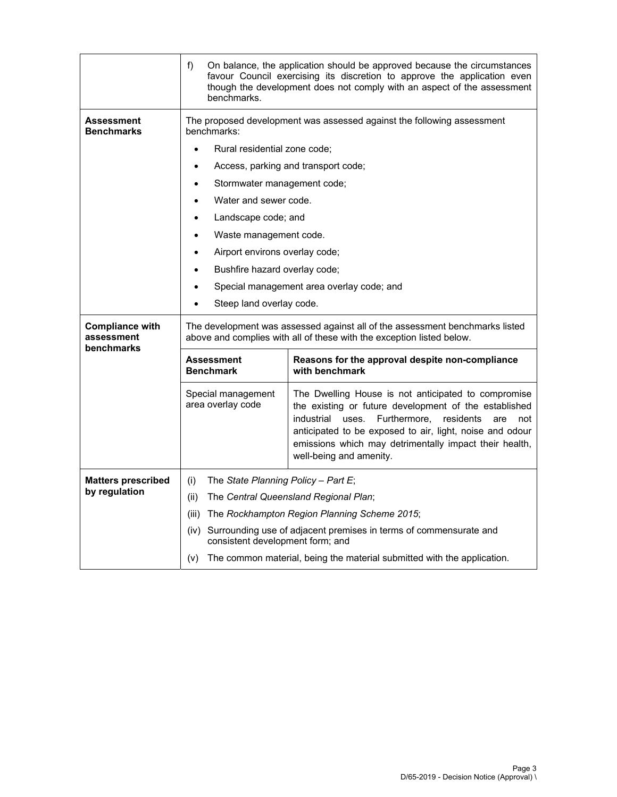|                                                    | f)<br>benchmarks.                                                                                                                                                                                                                                                                                                                                      | On balance, the application should be approved because the circumstances<br>favour Council exercising its discretion to approve the application even<br>though the development does not comply with an aspect of the assessment |  |
|----------------------------------------------------|--------------------------------------------------------------------------------------------------------------------------------------------------------------------------------------------------------------------------------------------------------------------------------------------------------------------------------------------------------|---------------------------------------------------------------------------------------------------------------------------------------------------------------------------------------------------------------------------------|--|
| Assessment<br><b>Benchmarks</b>                    | benchmarks:                                                                                                                                                                                                                                                                                                                                            | The proposed development was assessed against the following assessment                                                                                                                                                          |  |
|                                                    | Rural residential zone code;                                                                                                                                                                                                                                                                                                                           |                                                                                                                                                                                                                                 |  |
|                                                    |                                                                                                                                                                                                                                                                                                                                                        | Access, parking and transport code;                                                                                                                                                                                             |  |
|                                                    | Stormwater management code;                                                                                                                                                                                                                                                                                                                            |                                                                                                                                                                                                                                 |  |
|                                                    | Water and sewer code.                                                                                                                                                                                                                                                                                                                                  |                                                                                                                                                                                                                                 |  |
|                                                    | Landscape code; and                                                                                                                                                                                                                                                                                                                                    |                                                                                                                                                                                                                                 |  |
|                                                    | Waste management code.                                                                                                                                                                                                                                                                                                                                 |                                                                                                                                                                                                                                 |  |
|                                                    | Airport environs overlay code;<br>٠                                                                                                                                                                                                                                                                                                                    |                                                                                                                                                                                                                                 |  |
|                                                    | Bushfire hazard overlay code;                                                                                                                                                                                                                                                                                                                          |                                                                                                                                                                                                                                 |  |
|                                                    |                                                                                                                                                                                                                                                                                                                                                        | Special management area overlay code; and                                                                                                                                                                                       |  |
|                                                    | Steep land overlay code.                                                                                                                                                                                                                                                                                                                               |                                                                                                                                                                                                                                 |  |
| <b>Compliance with</b><br>assessment<br>benchmarks | The development was assessed against all of the assessment benchmarks listed<br>above and complies with all of these with the exception listed below.                                                                                                                                                                                                  |                                                                                                                                                                                                                                 |  |
|                                                    | <b>Assessment</b><br><b>Benchmark</b>                                                                                                                                                                                                                                                                                                                  | Reasons for the approval despite non-compliance<br>with benchmark                                                                                                                                                               |  |
|                                                    | The Dwelling House is not anticipated to compromise<br>Special management<br>area overlay code<br>the existing or future development of the established<br>industrial<br>uses. Furthermore, residents<br>anticipated to be exposed to air, light, noise and odour<br>emissions which may detrimentally impact their health,<br>well-being and amenity. |                                                                                                                                                                                                                                 |  |
| <b>Matters prescribed</b>                          | The State Planning Policy - Part E;<br>(i)                                                                                                                                                                                                                                                                                                             |                                                                                                                                                                                                                                 |  |
| by regulation                                      | (ii)                                                                                                                                                                                                                                                                                                                                                   | The Central Queensland Regional Plan;                                                                                                                                                                                           |  |
|                                                    | (iii) The Rockhampton Region Planning Scheme 2015;                                                                                                                                                                                                                                                                                                     |                                                                                                                                                                                                                                 |  |
|                                                    | (iv) Surrounding use of adjacent premises in terms of commensurate and<br>consistent development form; and                                                                                                                                                                                                                                             |                                                                                                                                                                                                                                 |  |
|                                                    | (V)                                                                                                                                                                                                                                                                                                                                                    | The common material, being the material submitted with the application.                                                                                                                                                         |  |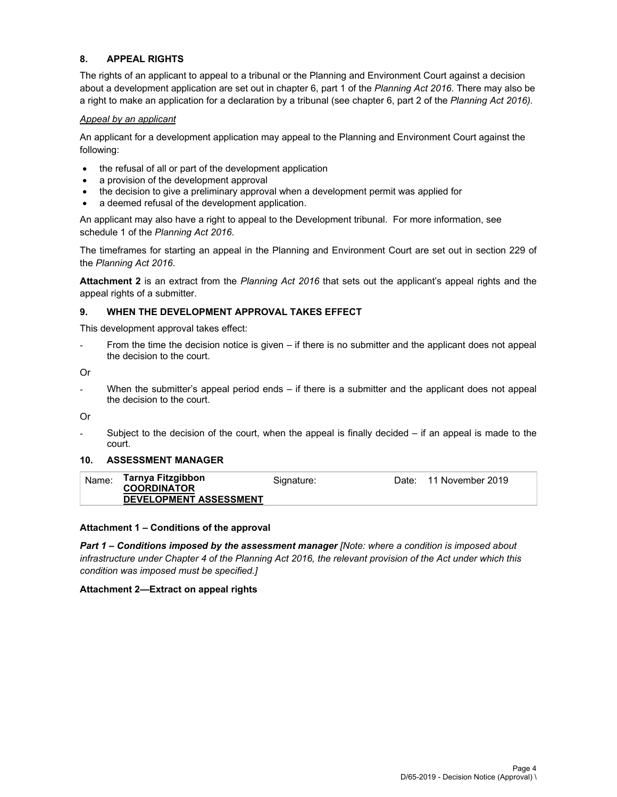#### **8. APPEAL RIGHTS**

The rights of an applicant to appeal to a tribunal or the Planning and Environment Court against a decision about a development application are set out in chapter 6, part 1 of the *Planning Act 2016*. There may also be a right to make an application for a declaration by a tribunal (see chapter 6, part 2 of the *Planning Act 2016).*

#### *Appeal by an applicant*

An applicant for a development application may appeal to the Planning and Environment Court against the following:

- the refusal of all or part of the development application
- a provision of the development approval
- the decision to give a preliminary approval when a development permit was applied for
- a deemed refusal of the development application.

An applicant may also have a right to appeal to the Development tribunal. For more information, see schedule 1 of the *Planning Act 2016*.

The timeframes for starting an appeal in the Planning and Environment Court are set out in section 229 of the *Planning Act 2016*.

**Attachment 2** is an extract from the *Planning Act 2016* that sets out the applicant's appeal rights and the appeal rights of a submitter.

#### **9. WHEN THE DEVELOPMENT APPROVAL TAKES EFFECT**

This development approval takes effect:

From the time the decision notice is given – if there is no submitter and the applicant does not appeal the decision to the court.

Or

- When the submitter's appeal period ends – if there is a submitter and the applicant does not appeal the decision to the court.

Or

Subject to the decision of the court, when the appeal is finally decided  $-$  if an appeal is made to the court.

#### **10. ASSESSMENT MANAGER**

| Name: | Tarnya Fitzgibbon<br><b>COORDINATOR</b><br><b>DEVELOPMENT ASSESSMENT</b> | Signature: | Date: 11 November 2019 |
|-------|--------------------------------------------------------------------------|------------|------------------------|
|       |                                                                          |            |                        |

#### **Attachment 1 – Conditions of the approval**

*Part 1* **–** *Conditions imposed by the assessment manager [Note: where a condition is imposed about infrastructure under Chapter 4 of the Planning Act 2016, the relevant provision of the Act under which this condition was imposed must be specified.]*

#### **Attachment 2—Extract on appeal rights**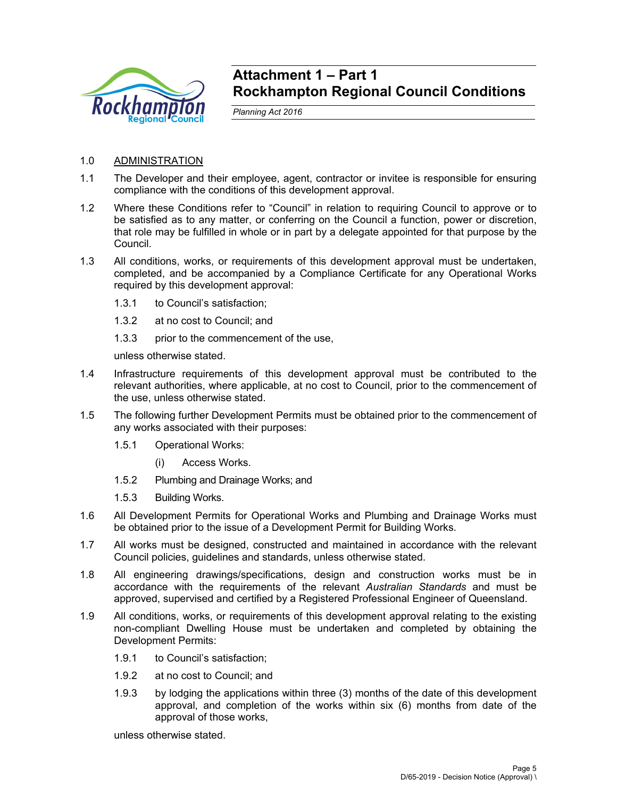

# **Attachment 1 – Part 1 Rockhampton Regional Council Conditions**

*Planning Act 2016* 

# 1.0 ADMINISTRATION

- 1.1 The Developer and their employee, agent, contractor or invitee is responsible for ensuring compliance with the conditions of this development approval.
- 1.2 Where these Conditions refer to "Council" in relation to requiring Council to approve or to be satisfied as to any matter, or conferring on the Council a function, power or discretion, that role may be fulfilled in whole or in part by a delegate appointed for that purpose by the Council.
- 1.3 All conditions, works, or requirements of this development approval must be undertaken, completed, and be accompanied by a Compliance Certificate for any Operational Works required by this development approval:
	- 1.3.1 to Council's satisfaction;
	- 1.3.2 at no cost to Council; and
	- 1.3.3 prior to the commencement of the use,

unless otherwise stated.

- 1.4 Infrastructure requirements of this development approval must be contributed to the relevant authorities, where applicable, at no cost to Council, prior to the commencement of the use, unless otherwise stated.
- 1.5 The following further Development Permits must be obtained prior to the commencement of any works associated with their purposes:
	- 1.5.1 Operational Works:
		- (i) Access Works.
	- 1.5.2 Plumbing and Drainage Works; and
	- 1.5.3 Building Works.
- 1.6 All Development Permits for Operational Works and Plumbing and Drainage Works must be obtained prior to the issue of a Development Permit for Building Works.
- 1.7 All works must be designed, constructed and maintained in accordance with the relevant Council policies, guidelines and standards, unless otherwise stated.
- 1.8 All engineering drawings/specifications, design and construction works must be in accordance with the requirements of the relevant *Australian Standards* and must be approved, supervised and certified by a Registered Professional Engineer of Queensland.
- 1.9 All conditions, works, or requirements of this development approval relating to the existing non-compliant Dwelling House must be undertaken and completed by obtaining the Development Permits:
	- 1.9.1 to Council's satisfaction;
	- 1.9.2 at no cost to Council; and
	- 1.9.3 by lodging the applications within three (3) months of the date of this development approval, and completion of the works within six (6) months from date of the approval of those works,

unless otherwise stated.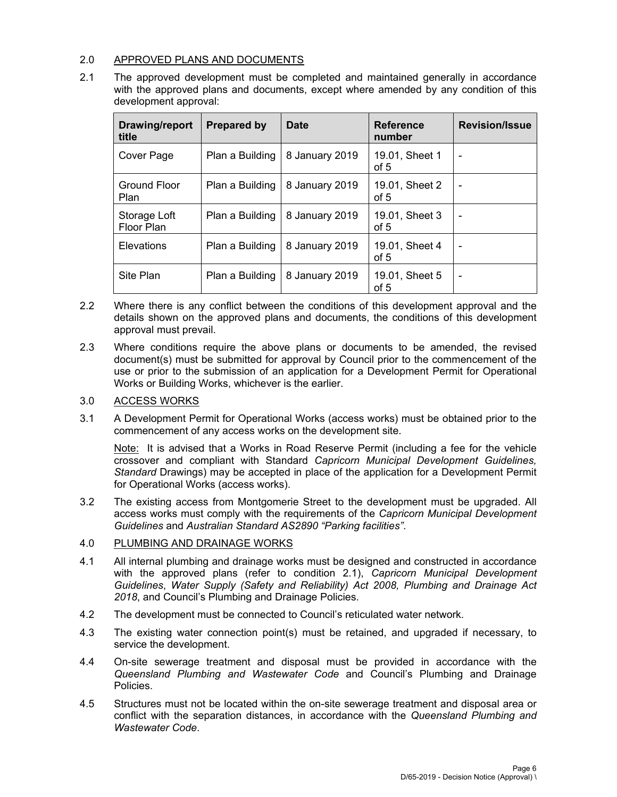# 2.0 APPROVED PLANS AND DOCUMENTS

2.1 The approved development must be completed and maintained generally in accordance with the approved plans and documents, except where amended by any condition of this development approval:

| Drawing/report<br>title    | <b>Prepared by</b> | <b>Date</b>    | <b>Reference</b><br>number | <b>Revision/Issue</b> |
|----------------------------|--------------------|----------------|----------------------------|-----------------------|
| Cover Page                 | Plan a Building    | 8 January 2019 | 19.01, Sheet 1<br>of 5     |                       |
| Ground Floor<br>Plan       | Plan a Building    | 8 January 2019 | 19.01, Sheet 2<br>of 5     |                       |
| Storage Loft<br>Floor Plan | Plan a Building    | 8 January 2019 | 19.01, Sheet 3<br>of 5     |                       |
| Elevations                 | Plan a Building    | 8 January 2019 | 19.01, Sheet 4<br>of 5     |                       |
| Site Plan                  | Plan a Building    | 8 January 2019 | 19.01, Sheet 5<br>of 5     |                       |

- 2.2 Where there is any conflict between the conditions of this development approval and the details shown on the approved plans and documents, the conditions of this development approval must prevail.
- 2.3 Where conditions require the above plans or documents to be amended, the revised document(s) must be submitted for approval by Council prior to the commencement of the use or prior to the submission of an application for a Development Permit for Operational Works or Building Works, whichever is the earlier.

# 3.0 ACCESS WORKS

3.1 A Development Permit for Operational Works (access works) must be obtained prior to the commencement of any access works on the development site.

Note: It is advised that a Works in Road Reserve Permit (including a fee for the vehicle crossover and compliant with Standard *Capricorn Municipal Development Guidelines, Standard* Drawings) may be accepted in place of the application for a Development Permit for Operational Works (access works).

3.2 The existing access from Montgomerie Street to the development must be upgraded. All access works must comply with the requirements of the *Capricorn Municipal Development Guidelines* and *Australian Standard AS2890 "Parking facilities"*.

# 4.0 PLUMBING AND DRAINAGE WORKS

- 4.1 All internal plumbing and drainage works must be designed and constructed in accordance with the approved plans (refer to condition 2.1), *Capricorn Municipal Development Guidelines*, *Water Supply (Safety and Reliability) Act 2008, Plumbing and Drainage Act 2018*, and Council's Plumbing and Drainage Policies.
- 4.2 The development must be connected to Council's reticulated water network.
- 4.3 The existing water connection point(s) must be retained, and upgraded if necessary, to service the development.
- 4.4 On-site sewerage treatment and disposal must be provided in accordance with the *Queensland Plumbing and Wastewater Code* and Council's Plumbing and Drainage Policies.
- 4.5 Structures must not be located within the on-site sewerage treatment and disposal area or conflict with the separation distances, in accordance with the *Queensland Plumbing and Wastewater Code*.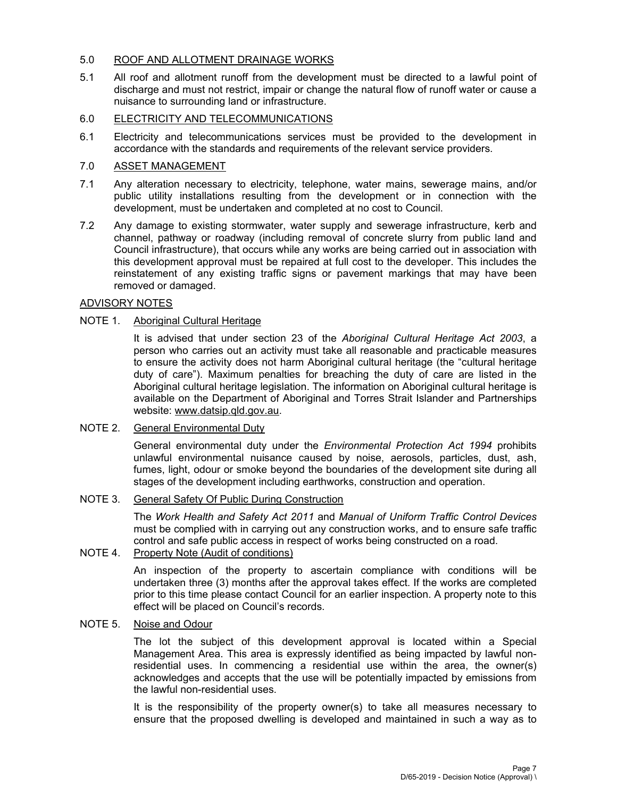#### 5.0 ROOF AND ALLOTMENT DRAINAGE WORKS

5.1 All roof and allotment runoff from the development must be directed to a lawful point of discharge and must not restrict, impair or change the natural flow of runoff water or cause a nuisance to surrounding land or infrastructure.

# 6.0 ELECTRICITY AND TELECOMMUNICATIONS

6.1 Electricity and telecommunications services must be provided to the development in accordance with the standards and requirements of the relevant service providers.

# 7.0 ASSET MANAGEMENT

- 7.1 Any alteration necessary to electricity, telephone, water mains, sewerage mains, and/or public utility installations resulting from the development or in connection with the development, must be undertaken and completed at no cost to Council.
- 7.2 Any damage to existing stormwater, water supply and sewerage infrastructure, kerb and channel, pathway or roadway (including removal of concrete slurry from public land and Council infrastructure), that occurs while any works are being carried out in association with this development approval must be repaired at full cost to the developer. This includes the reinstatement of any existing traffic signs or pavement markings that may have been removed or damaged.

# ADVISORY NOTES

# NOTE 1. Aboriginal Cultural Heritage

It is advised that under section 23 of the *Aboriginal Cultural Heritage Act 2003*, a person who carries out an activity must take all reasonable and practicable measures to ensure the activity does not harm Aboriginal cultural heritage (the "cultural heritage duty of care"). Maximum penalties for breaching the duty of care are listed in the Aboriginal cultural heritage legislation. The information on Aboriginal cultural heritage is available on the Department of Aboriginal and Torres Strait Islander and Partnerships website: www.datsip.qld.gov.au.

#### NOTE 2. General Environmental Duty

General environmental duty under the *Environmental Protection Act 1994* prohibits unlawful environmental nuisance caused by noise, aerosols, particles, dust, ash, fumes, light, odour or smoke beyond the boundaries of the development site during all stages of the development including earthworks, construction and operation.

# NOTE 3. General Safety Of Public During Construction

The *Work Health and Safety Act 2011* and *Manual of Uniform Traffic Control Devices* must be complied with in carrying out any construction works, and to ensure safe traffic control and safe public access in respect of works being constructed on a road.

# NOTE 4. Property Note (Audit of conditions)

An inspection of the property to ascertain compliance with conditions will be undertaken three (3) months after the approval takes effect. If the works are completed prior to this time please contact Council for an earlier inspection. A property note to this effect will be placed on Council's records.

#### NOTE 5. Noise and Odour

The lot the subject of this development approval is located within a Special Management Area. This area is expressly identified as being impacted by lawful nonresidential uses. In commencing a residential use within the area, the owner(s) acknowledges and accepts that the use will be potentially impacted by emissions from the lawful non-residential uses.

It is the responsibility of the property owner(s) to take all measures necessary to ensure that the proposed dwelling is developed and maintained in such a way as to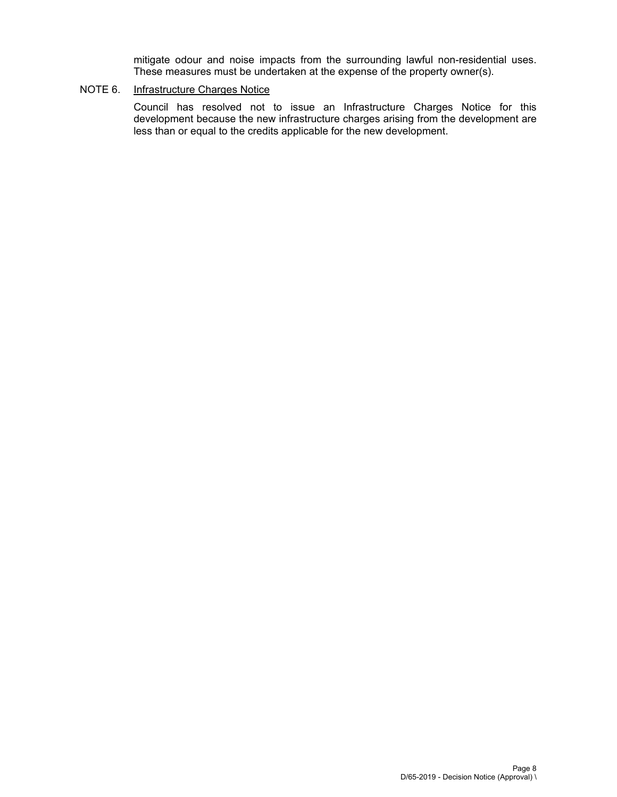mitigate odour and noise impacts from the surrounding lawful non-residential uses. These measures must be undertaken at the expense of the property owner(s).

# NOTE 6. Infrastructure Charges Notice

Council has resolved not to issue an Infrastructure Charges Notice for this development because the new infrastructure charges arising from the development are less than or equal to the credits applicable for the new development.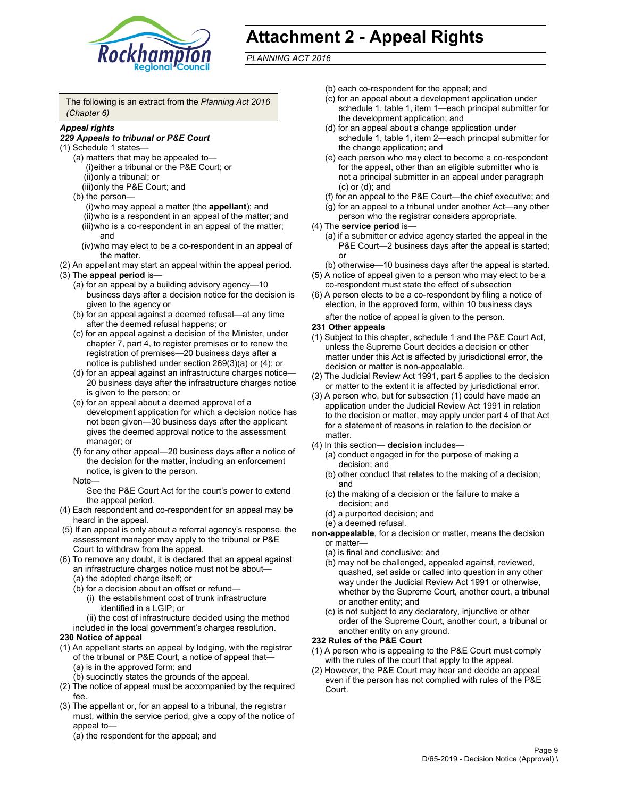

# **Attachment 2 - Appeal Rights**

*PLANNING ACT 2016*

The following is an extract from the *Planning Act 2016 (Chapter 6)*

#### *Appeal rights*

#### *229 Appeals to tribunal or P&E Court*

- (1) Schedule 1 states—
	- (a) matters that may be appealed to— (i) either a tribunal or the P&E Court; or (ii) only a tribunal; or (iii) only the P&E Court; and
	- (b) the person—
		- (i) who may appeal a matter (the **appellant**); and
		- (ii) who is a respondent in an appeal of the matter; and (iii) who is a co-respondent in an appeal of the matter; and
		- (iv) who may elect to be a co-respondent in an appeal of the matter.
- (2) An appellant may start an appeal within the appeal period.
- (3) The **appeal period** is—
	- (a) for an appeal by a building advisory agency—10 business days after a decision notice for the decision is given to the agency or
	- (b) for an appeal against a deemed refusal—at any time after the deemed refusal happens; or
	- (c) for an appeal against a decision of the Minister, under chapter 7, part 4, to register premises or to renew the registration of premises—20 business days after a notice is published under section 269(3)(a) or (4); or
	- (d) for an appeal against an infrastructure charges notice— 20 business days after the infrastructure charges notice is given to the person; or
	- (e) for an appeal about a deemed approval of a development application for which a decision notice has not been given—30 business days after the applicant gives the deemed approval notice to the assessment manager; or
	- (f) for any other appeal—20 business days after a notice of the decision for the matter, including an enforcement notice, is given to the person.

#### Note—

See the P&E Court Act for the court's power to extend the appeal period.

- (4) Each respondent and co-respondent for an appeal may be heard in the appeal.
- (5) If an appeal is only about a referral agency's response, the assessment manager may apply to the tribunal or P&E Court to withdraw from the appeal.
- (6) To remove any doubt, it is declared that an appeal against an infrastructure charges notice must not be about— (a) the adopted charge itself; or
	- (b) for a decision about an offset or refund—
		- (i) the establishment cost of trunk infrastructure identified in a LGIP; or
		- (ii) the cost of infrastructure decided using the method

included in the local government's charges resolution.

#### **230 Notice of appeal**

- (1) An appellant starts an appeal by lodging, with the registrar of the tribunal or P&E Court, a notice of appeal that—
	- (a) is in the approved form; and
	- (b) succinctly states the grounds of the appeal.
- (2) The notice of appeal must be accompanied by the required fee.
- (3) The appellant or, for an appeal to a tribunal, the registrar must, within the service period, give a copy of the notice of appeal to—
	- (a) the respondent for the appeal; and
- (b) each co-respondent for the appeal; and
- (c) for an appeal about a development application under schedule 1, table 1, item 1—each principal submitter for the development application; and
- (d) for an appeal about a change application under schedule 1, table 1, item 2—each principal submitter for the change application; and
- (e) each person who may elect to become a co-respondent for the appeal, other than an eligible submitter who is not a principal submitter in an appeal under paragraph (c) or (d); and
- (f) for an appeal to the P&E Court—the chief executive; and
- (g) for an appeal to a tribunal under another Act—any other
- person who the registrar considers appropriate. (4) The **service period** is—
	- (a) if a submitter or advice agency started the appeal in the P&E Court—2 business days after the appeal is started; or

(b) otherwise—10 business days after the appeal is started.

- (5) A notice of appeal given to a person who may elect to be a co-respondent must state the effect of subsection
- (6) A person elects to be a co-respondent by filing a notice of election, in the approved form, within 10 business days
	- after the notice of appeal is given to the person*.*
- **231 Other appeals**
- (1) Subject to this chapter, schedule 1 and the P&E Court Act, unless the Supreme Court decides a decision or other matter under this Act is affected by jurisdictional error, the decision or matter is non-appealable.
- (2) The Judicial Review Act 1991, part 5 applies to the decision or matter to the extent it is affected by jurisdictional error.
- (3) A person who, but for subsection (1) could have made an application under the Judicial Review Act 1991 in relation to the decision or matter, may apply under part 4 of that Act for a statement of reasons in relation to the decision or matter.
- (4) In this section— **decision** includes—
	- (a) conduct engaged in for the purpose of making a decision; and
	- (b) other conduct that relates to the making of a decision; and
	- (c) the making of a decision or the failure to make a decision; and
	- (d) a purported decision; and
	- (e) a deemed refusal.
- **non-appealable**, for a decision or matter, means the decision or matter—
	- (a) is final and conclusive; and
	- (b) may not be challenged, appealed against, reviewed, quashed, set aside or called into question in any other way under the Judicial Review Act 1991 or otherwise, whether by the Supreme Court, another court, a tribunal or another entity; and
	- (c) is not subject to any declaratory, injunctive or other order of the Supreme Court, another court, a tribunal or another entity on any ground.

#### **232 Rules of the P&E Court**

- (1) A person who is appealing to the P&E Court must comply with the rules of the court that apply to the appeal.
- (2) However, the P&E Court may hear and decide an appeal even if the person has not complied with rules of the P&E Court.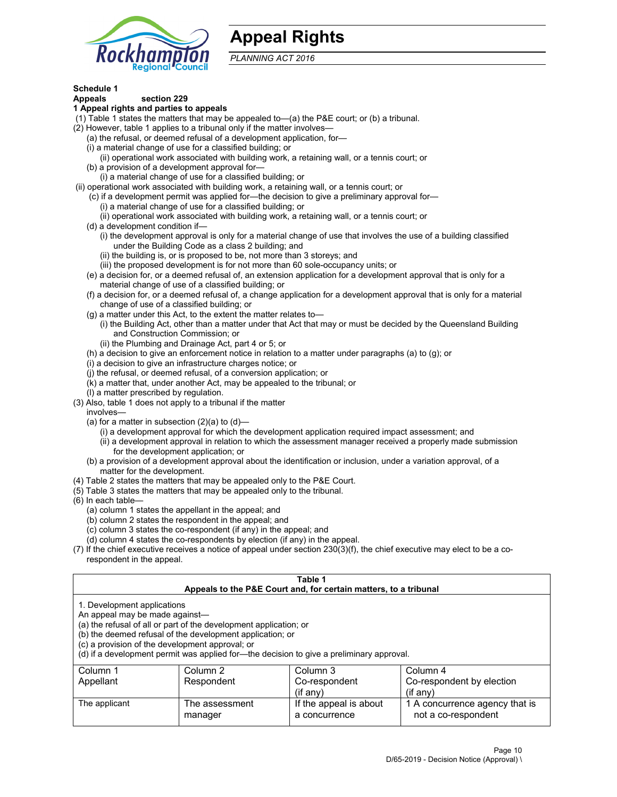

# **Appeal Rights**

*PLANNING ACT 2016*

# **Schedule 1**

# **Appeals section 229**

- **1 Appeal rights and parties to appeals**
- (1) Table 1 states the matters that may be appealed to—(a) the P&E court; or (b) a tribunal.
- (2) However, table 1 applies to a tribunal only if the matter involves—
	- (a) the refusal, or deemed refusal of a development application, for—
	- (i) a material change of use for a classified building; or
	- (ii) operational work associated with building work, a retaining wall, or a tennis court; or
	- (b) a provision of a development approval for—
	- (i) a material change of use for a classified building; or
- (ii) operational work associated with building work, a retaining wall, or a tennis court; or
	- (c) if a development permit was applied for—the decision to give a preliminary approval for— (i) a material change of use for a classified building; or
		- (ii) operational work associated with building work, a retaining wall, or a tennis court; or
	- (d) a development condition if—
		- (i) the development approval is only for a material change of use that involves the use of a building classified under the Building Code as a class 2 building; and
		- (ii) the building is, or is proposed to be, not more than 3 storeys; and
		- (iii) the proposed development is for not more than 60 sole-occupancy units; or
	- (e) a decision for, or a deemed refusal of, an extension application for a development approval that is only for a material change of use of a classified building; or
	- (f) a decision for, or a deemed refusal of, a change application for a development approval that is only for a material change of use of a classified building; or
	- (g) a matter under this Act, to the extent the matter relates to—
		- (i) the Building Act, other than a matter under that Act that may or must be decided by the Queensland Building and Construction Commission; or
		- (ii) the Plumbing and Drainage Act, part 4 or 5; or
	- (h) a decision to give an enforcement notice in relation to a matter under paragraphs (a) to (g); or
	- (i) a decision to give an infrastructure charges notice; or
	- (j) the refusal, or deemed refusal, of a conversion application; or
	- (k) a matter that, under another Act, may be appealed to the tribunal; or
	- (l) a matter prescribed by regulation.
- (3) Also, table 1 does not apply to a tribunal if the matter
	- involves—
		- (a) for a matter in subsection  $(2)(a)$  to  $(d)$ 
			- (i) a development approval for which the development application required impact assessment; and
			- (ii) a development approval in relation to which the assessment manager received a properly made submission for the development application; or
	- (b) a provision of a development approval about the identification or inclusion, under a variation approval, of a matter for the development.
- (4) Table 2 states the matters that may be appealed only to the P&E Court.
- (5) Table 3 states the matters that may be appealed only to the tribunal.
- (6) In each table—
	- (a) column 1 states the appellant in the appeal; and
	- (b) column 2 states the respondent in the appeal; and
	- (c) column 3 states the co-respondent (if any) in the appeal; and
	- (d) column 4 states the co-respondents by election (if any) in the appeal.
- (7) If the chief executive receives a notice of appeal under section 230(3)(f), the chief executive may elect to be a corespondent in the appeal.

| Table 1<br>Appeals to the P&E Court and, for certain matters, to a tribunal                                      |                                                                                                                                |                                                                                          |                                                       |  |  |
|------------------------------------------------------------------------------------------------------------------|--------------------------------------------------------------------------------------------------------------------------------|------------------------------------------------------------------------------------------|-------------------------------------------------------|--|--|
| 1. Development applications<br>An appeal may be made against-<br>(c) a provision of the development approval; or | (a) the refusal of all or part of the development application; or<br>(b) the deemed refusal of the development application; or | (d) if a development permit was applied for—the decision to give a preliminary approval. |                                                       |  |  |
| Column 1                                                                                                         | Column <sub>2</sub>                                                                                                            | Column 3                                                                                 | Column 4                                              |  |  |
| Appellant                                                                                                        | Co-respondent<br>Co-respondent by election<br>Respondent                                                                       |                                                                                          |                                                       |  |  |
| $($ if any $)$<br>$($ if any $)$                                                                                 |                                                                                                                                |                                                                                          |                                                       |  |  |
| The applicant                                                                                                    | The assessment<br>manager                                                                                                      | If the appeal is about<br>a concurrence                                                  | 1 A concurrence agency that is<br>not a co-respondent |  |  |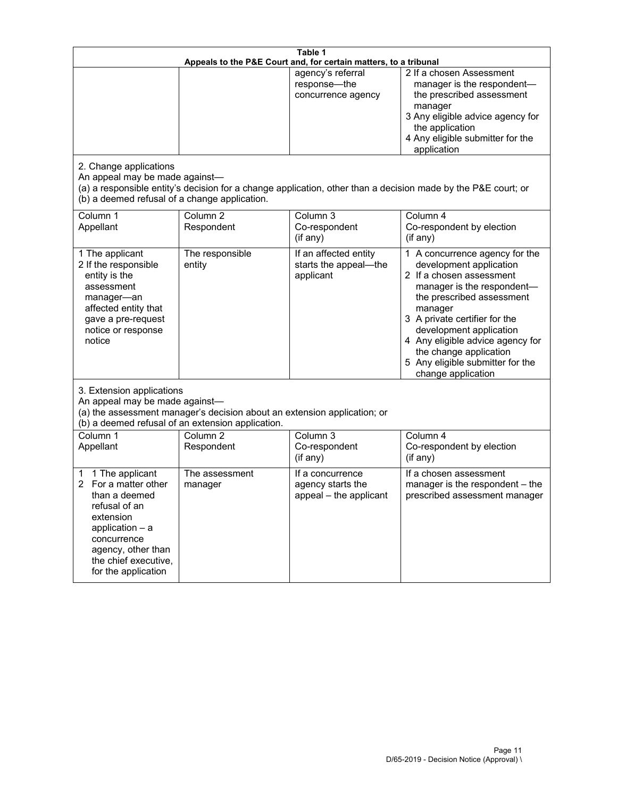| Table 1<br>Appeals to the P&E Court and, for certain matters, to a tribunal                                                                                                                        |                                     |                                                                 |                                                                                                                                                                                                                                                                                                                                                 |  |
|----------------------------------------------------------------------------------------------------------------------------------------------------------------------------------------------------|-------------------------------------|-----------------------------------------------------------------|-------------------------------------------------------------------------------------------------------------------------------------------------------------------------------------------------------------------------------------------------------------------------------------------------------------------------------------------------|--|
| 2. Change applications<br>An appeal may be made against-                                                                                                                                           |                                     | agency's referral<br>response-the<br>concurrence agency         | 2 If a chosen Assessment<br>manager is the respondent-<br>the prescribed assessment<br>manager<br>3 Any eligible advice agency for<br>the application<br>4 Any eligible submitter for the<br>application<br>(a) a responsible entity's decision for a change application, other than a decision made by the P&E court; or                       |  |
| (b) a deemed refusal of a change application.<br>Column 1<br>Appellant                                                                                                                             | Column $\overline{2}$<br>Respondent | Column 3<br>Co-respondent<br>(if any)                           | Column 4<br>Co-respondent by election<br>(if any)                                                                                                                                                                                                                                                                                               |  |
| 1 The applicant<br>2 If the responsible<br>entity is the<br>assessment<br>manager-an<br>affected entity that<br>gave a pre-request<br>notice or response<br>notice                                 | The responsible<br>entity           | If an affected entity<br>starts the appeal-the<br>applicant     | 1 A concurrence agency for the<br>development application<br>2 If a chosen assessment<br>manager is the respondent-<br>the prescribed assessment<br>manager<br>3 A private certifier for the<br>development application<br>4 Any eligible advice agency for<br>the change application<br>5 Any eligible submitter for the<br>change application |  |
| 3. Extension applications<br>An appeal may be made against-<br>(a) the assessment manager's decision about an extension application; or<br>(b) a deemed refusal of an extension application.       |                                     |                                                                 |                                                                                                                                                                                                                                                                                                                                                 |  |
| Column 1<br>Appellant                                                                                                                                                                              | Column <sub>2</sub><br>Respondent   | Column 3<br>Co-respondent<br>(if any)                           | Column 4<br>Co-respondent by election<br>(if any)                                                                                                                                                                                                                                                                                               |  |
| 1 The applicant<br>1<br>For a matter other<br>than a deemed<br>refusal of an<br>extension<br>application $-$ a<br>concurrence<br>agency, other than<br>the chief executive,<br>for the application | The assessment<br>manager           | If a concurrence<br>agency starts the<br>appeal - the applicant | If a chosen assessment<br>manager is the respondent - the<br>prescribed assessment manager                                                                                                                                                                                                                                                      |  |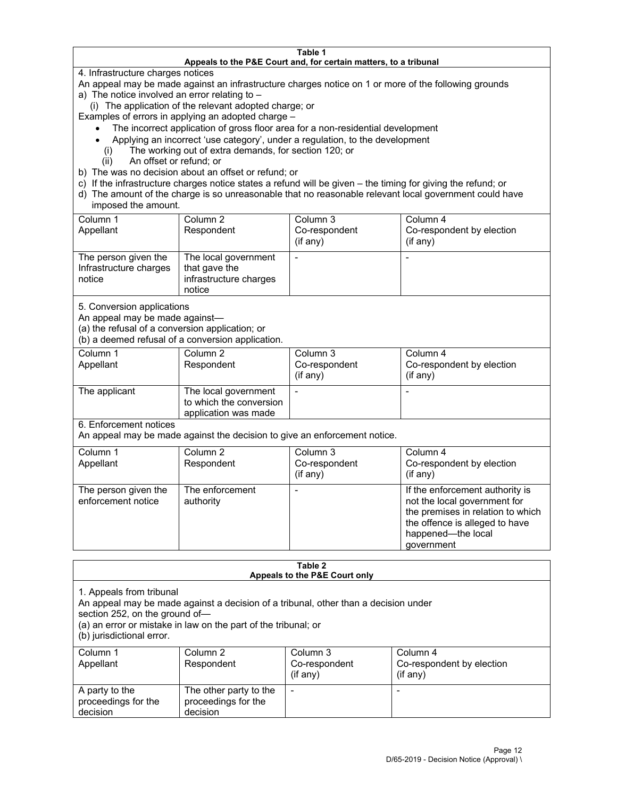#### **Table 1 Appeals to the P&E Court and, for certain matters, to a tribunal**

4. Infrastructure charges notices

An appeal may be made against an infrastructure charges notice on 1 or more of the following grounds

- a) The notice involved an error relating to
	- (i) The application of the relevant adopted charge; or

Examples of errors in applying an adopted charge –

- The incorrect application of gross floor area for a non-residential development
- Applying an incorrect 'use category', under a regulation, to the development
	- (i) The working out of extra demands, for section 120; or
	- (ii) An offset or refund; or
- b) The was no decision about an offset or refund; or
- c) If the infrastructure charges notice states a refund will be given the timing for giving the refund; or
- d) The amount of the charge is so unreasonable that no reasonable relevant local government could have imposed the amount.

| Column 1<br>Appellant                                    | Column 2<br>Respondent                                                    | Column 3<br>Co-respondent<br>(if any) | Column 4<br>Co-respondent by election<br>(if any) |
|----------------------------------------------------------|---------------------------------------------------------------------------|---------------------------------------|---------------------------------------------------|
| The person given the<br>Infrastructure charges<br>notice | The local government<br>that gave the<br>infrastructure charges<br>notice |                                       |                                                   |

5. Conversion applications

An appeal may be made against—

(a) the refusal of a conversion application; or

(b) a deemed refusal of a conversion application.

| Column 1      | Column 2                | Column 3       | Column 4                  |
|---------------|-------------------------|----------------|---------------------------|
| Appellant     | Respondent              | Co-respondent  | Co-respondent by election |
|               |                         | $($ if any $)$ | $($ if any $)$            |
|               |                         |                |                           |
| The applicant | The local government    |                |                           |
|               | to which the conversion |                |                           |
|               | application was made    |                |                           |

6. Enforcement notices

An appeal may be made against the decision to give an enforcement notice.

| Column 1<br>Appellant                      | Column 2<br>Respondent       | Column 3<br>Co-respondent<br>(if any) | Column 4<br>Co-respondent by election<br>(i f any)                                                                                                                         |
|--------------------------------------------|------------------------------|---------------------------------------|----------------------------------------------------------------------------------------------------------------------------------------------------------------------------|
| The person given the<br>enforcement notice | The enforcement<br>authority |                                       | If the enforcement authority is<br>not the local government for<br>the premises in relation to which<br>the offence is alleged to have<br>happened-the local<br>government |

#### **Table 2 Appeals to the P&E Court only**

1. Appeals from tribunal

An appeal may be made against a decision of a tribunal, other than a decision under

section 252, on the ground of—

(a) an error or mistake in law on the part of the tribunal; or

(b) jurisdictional error.

| Column 1<br>Appellant                             | Column 2<br>Respondent                                    | Column 3<br>Co-respondent<br>$(if$ any) | Column 4<br>Co-respondent by election<br>$(if$ any) |
|---------------------------------------------------|-----------------------------------------------------------|-----------------------------------------|-----------------------------------------------------|
| A party to the<br>proceedings for the<br>decision | The other party to the<br>proceedings for the<br>decision | $\overline{\phantom{a}}$                |                                                     |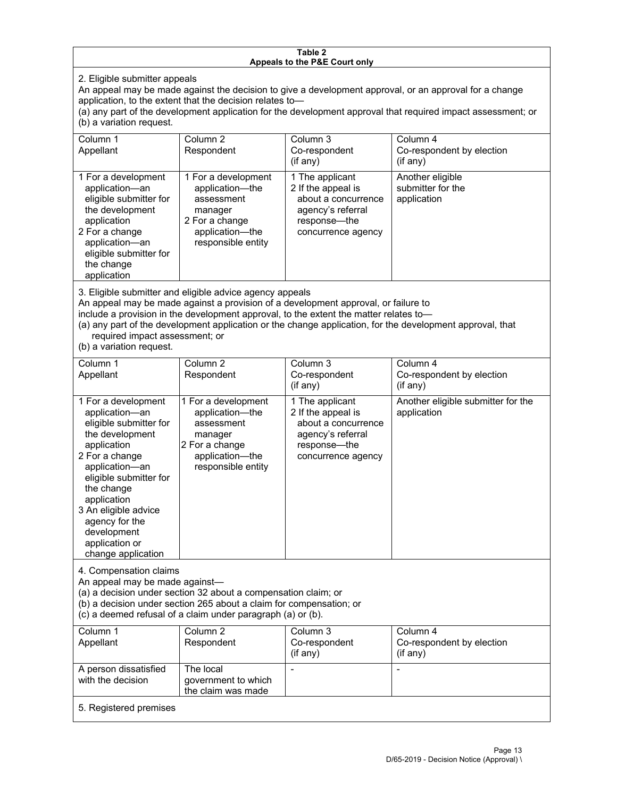#### **Table 2 Appeals to the P&E Court only**

2. Eligible submitter appeals

An appeal may be made against the decision to give a development approval, or an approval for a change application, to the extent that the decision relates to—

(a) any part of the development application for the development approval that required impact assessment; or (b) a variation request.

| Column 1<br>Appellant                                                                                                                                                                        | Column 2<br>Respondent                                                                                                     | Column 3<br>Co-respondent<br>$($ if any $)$                                                                             | Column 4<br>Co-respondent by election<br>(if any)    |
|----------------------------------------------------------------------------------------------------------------------------------------------------------------------------------------------|----------------------------------------------------------------------------------------------------------------------------|-------------------------------------------------------------------------------------------------------------------------|------------------------------------------------------|
| 1 For a development<br>application-an<br>eligible submitter for<br>the development<br>application<br>2 For a change<br>application-an<br>eligible submitter for<br>the change<br>application | 1 For a development<br>application-the<br>assessment<br>manager<br>2 For a change<br>application-the<br>responsible entity | 1 The applicant<br>2 If the appeal is<br>about a concurrence<br>agency's referral<br>response—the<br>concurrence agency | Another eligible<br>submitter for the<br>application |

3. Eligible submitter and eligible advice agency appeals

An appeal may be made against a provision of a development approval, or failure to

include a provision in the development approval, to the extent the matter relates to—

(a) any part of the development application or the change application, for the development approval, that required impact assessment; or

(b) a variation request.

| Column 1<br>Appellant                                                                                                                                                                                                                                                                         | Column <sub>2</sub><br>Respondent                                                                                          | Column <sub>3</sub><br>Co-respondent<br>(if any)                                                                        | Column 4<br>Co-respondent by election<br>(if any) |
|-----------------------------------------------------------------------------------------------------------------------------------------------------------------------------------------------------------------------------------------------------------------------------------------------|----------------------------------------------------------------------------------------------------------------------------|-------------------------------------------------------------------------------------------------------------------------|---------------------------------------------------|
| 1 For a development<br>application-an<br>eligible submitter for<br>the development<br>application<br>2 For a change<br>application-an<br>eligible submitter for<br>the change<br>application<br>3 An eligible advice<br>agency for the<br>development<br>application or<br>change application | 1 For a development<br>application-the<br>assessment<br>manager<br>2 For a change<br>application-the<br>responsible entity | 1 The applicant<br>2 If the appeal is<br>about a concurrence<br>agency's referral<br>response-the<br>concurrence agency | Another eligible submitter for the<br>application |
| 4. Compensation claims<br>An appeal may be made against-<br>(a) a decision under section 32 about a compensation claim; or<br>(b) a decision under section 265 about a claim for compensation; or<br>(c) a deemed refusal of a claim under paragraph (a) or (b).                              |                                                                                                                            |                                                                                                                         |                                                   |
| Column 1<br>Appellant                                                                                                                                                                                                                                                                         | Column <sub>2</sub><br>Respondent                                                                                          | Column <sub>3</sub><br>Co-respondent<br>(if any)                                                                        | Column 4<br>Co-respondent by election<br>(if any) |
| A person dissatisfied<br>with the decision                                                                                                                                                                                                                                                    | The local<br>government to which<br>the claim was made                                                                     |                                                                                                                         |                                                   |
| 5. Registered premises                                                                                                                                                                                                                                                                        |                                                                                                                            |                                                                                                                         |                                                   |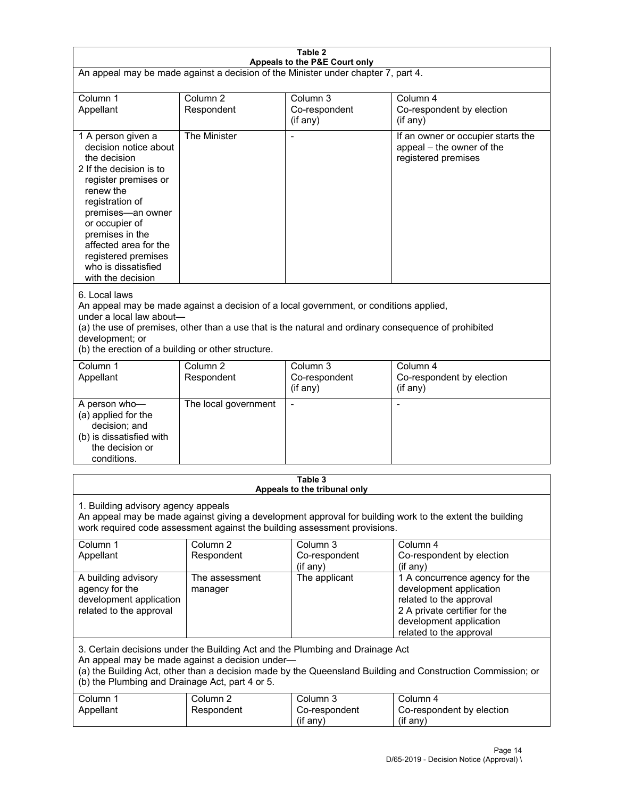| Table 2                                                                                                                                                                                                                                                                                                              |                                   |                                                  |                                                                                                                                                                             |  |
|----------------------------------------------------------------------------------------------------------------------------------------------------------------------------------------------------------------------------------------------------------------------------------------------------------------------|-----------------------------------|--------------------------------------------------|-----------------------------------------------------------------------------------------------------------------------------------------------------------------------------|--|
| Appeals to the P&E Court only<br>An appeal may be made against a decision of the Minister under chapter 7, part 4.                                                                                                                                                                                                   |                                   |                                                  |                                                                                                                                                                             |  |
| Column 1                                                                                                                                                                                                                                                                                                             | Column <sub>2</sub>               | Column <sub>3</sub>                              | Column 4                                                                                                                                                                    |  |
| Appellant                                                                                                                                                                                                                                                                                                            | Respondent                        | Co-respondent<br>(if any)                        | Co-respondent by election<br>(if any)                                                                                                                                       |  |
| 1 A person given a<br>decision notice about<br>the decision<br>2 If the decision is to<br>register premises or<br>renew the<br>registration of<br>premises-an owner<br>or occupier of<br>premises in the<br>affected area for the<br>registered premises<br>who is dissatisfied<br>with the decision                 | The Minister                      |                                                  | If an owner or occupier starts the<br>appeal - the owner of the<br>registered premises                                                                                      |  |
| 6. Local laws<br>An appeal may be made against a decision of a local government, or conditions applied,<br>under a local law about-<br>(a) the use of premises, other than a use that is the natural and ordinary consequence of prohibited<br>development; or<br>(b) the erection of a building or other structure. |                                   |                                                  |                                                                                                                                                                             |  |
| Column 1<br>Appellant                                                                                                                                                                                                                                                                                                | Column <sub>2</sub><br>Respondent | Column 3<br>Co-respondent<br>(if any)            | Column 4<br>Co-respondent by election<br>(if any)                                                                                                                           |  |
| A person who-<br>(a) applied for the<br>decision; and<br>(b) is dissatisfied with<br>the decision or<br>conditions.                                                                                                                                                                                                  | The local government              |                                                  |                                                                                                                                                                             |  |
|                                                                                                                                                                                                                                                                                                                      |                                   | Table 3<br>Appeals to the tribunal only          |                                                                                                                                                                             |  |
| 1. Building advisory agency appeals<br>An appeal may be made against giving a development approval for building work to the extent the building<br>work required code assessment against the building assessment provisions.                                                                                         |                                   |                                                  |                                                                                                                                                                             |  |
| Column <sub>1</sub><br>Appellant                                                                                                                                                                                                                                                                                     | Column <sub>2</sub><br>Respondent | Column <sub>3</sub><br>Co-respondent<br>(if any) | Column 4<br>Co-respondent by election<br>(if any)                                                                                                                           |  |
| A building advisory<br>agency for the<br>development application<br>related to the approval                                                                                                                                                                                                                          | The assessment<br>manager         | The applicant                                    | 1 A concurrence agency for the<br>development application<br>related to the approval<br>2 A private certifier for the<br>development application<br>related to the approval |  |
| 3. Certain decisions under the Building Act and the Plumbing and Drainage Act<br>An appeal may be made against a decision under-<br>(a) the Building Act, other than a decision made by the Queensland Building and Construction Commission; or<br>(b) the Plumbing and Drainage Act, part 4 or 5.                   |                                   |                                                  |                                                                                                                                                                             |  |
| Column 1<br>Appellant                                                                                                                                                                                                                                                                                                | Column <sub>2</sub><br>Respondent | Column 3<br>Co-respondent<br>(if any)            | Column 4<br>Co-respondent by election<br>(if any)                                                                                                                           |  |